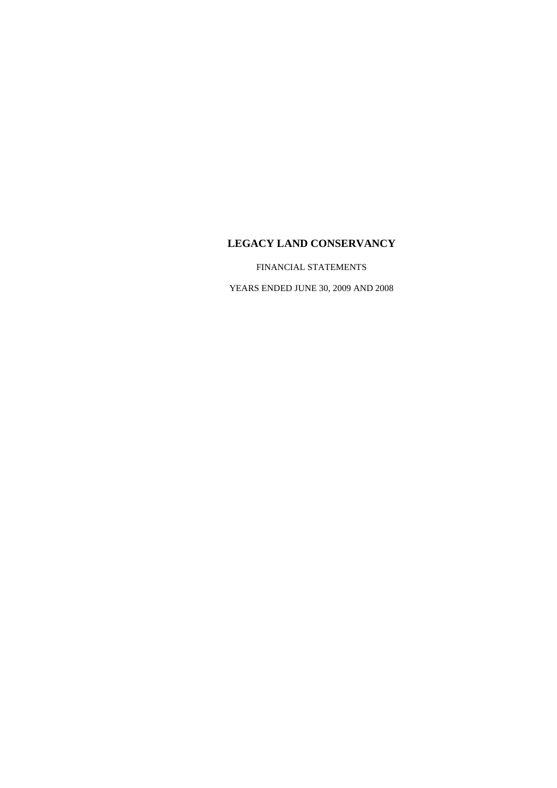FINANCIAL STATEMENTS

YEARS ENDED JUNE 30, 2009 AND 2008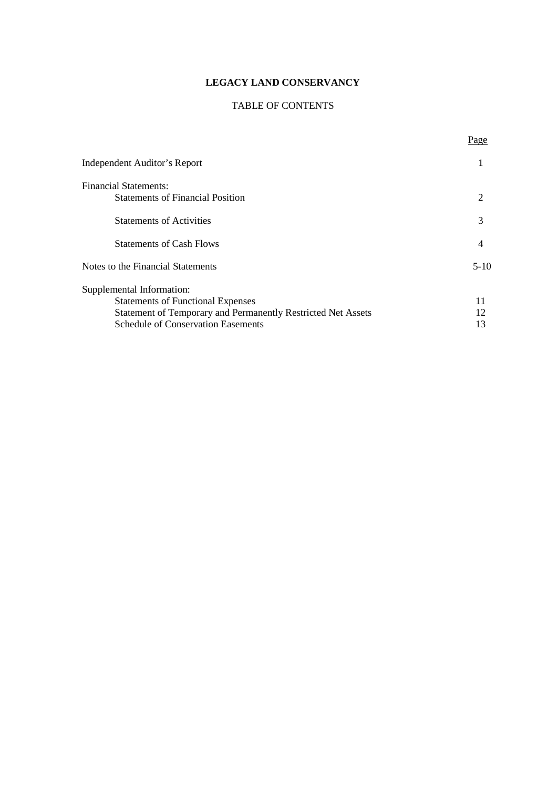## TABLE OF CONTENTS

Page

| Independent Auditor's Report                                 |          |
|--------------------------------------------------------------|----------|
| <b>Financial Statements:</b>                                 |          |
| <b>Statements of Financial Position</b>                      | 2        |
| <b>Statements of Activities</b>                              | 3        |
| <b>Statements of Cash Flows</b>                              | 4        |
| Notes to the Financial Statements                            | $5 - 10$ |
| Supplemental Information:                                    |          |
| <b>Statements of Functional Expenses</b>                     | 11       |
| Statement of Temporary and Permanently Restricted Net Assets | 12       |
| <b>Schedule of Conservation Easements</b>                    | 13       |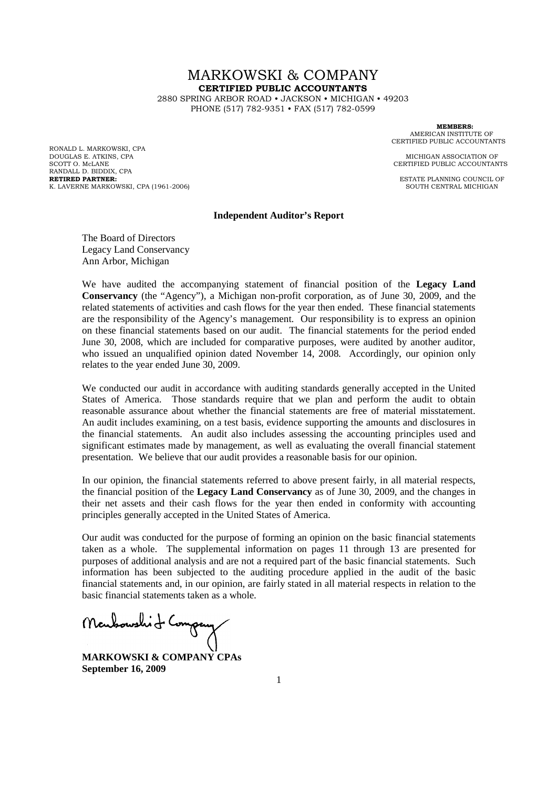# MARKOWSKI & COMPANY **CERTIFIED PUBLIC ACCOUNTANTS**

2880 SPRING ARBOR ROAD • JACKSON • MICHIGAN • 49203 PHONE (517) 782-9351 • FAX (517) 782-0599

RONALD L. MARKOWSKI, CPA DOUGLAS E. ATKINS, CPA **MICHIGAN ASSOCIATION OF** SCOTT O. McLANE CERTIFIED PUBLIC ACCOUNTANTS RANDALL D. BIDDIX, CPA<br>RETIRED PARTNER: K. LAVERNE MARKOWSKI, CPA (1961-2006)

**MEMBERS:** AMERICAN INSTITUTE OF CERTIFIED PUBLIC ACCOUNTANTS

**ESTATE PLANNING COUNCIL OF**<br>SOUTH CENTRAL MICHIGAN

#### **Independent Auditor's Report**

The Board of Directors Legacy Land Conservancy Ann Arbor, Michigan

We have audited the accompanying statement of financial position of the **Legacy Land Conservancy** (the "Agency"), a Michigan non-profit corporation, as of June 30, 2009, and the related statements of activities and cash flows for the year then ended. These financial statements are the responsibility of the Agency's management. Our responsibility is to express an opinion on these financial statements based on our audit. The financial statements for the period ended June 30, 2008, which are included for comparative purposes, were audited by another auditor, who issued an unqualified opinion dated November 14, 2008. Accordingly, our opinion only relates to the year ended June 30, 2009.

We conducted our audit in accordance with auditing standards generally accepted in the United States of America. Those standards require that we plan and perform the audit to obtain reasonable assurance about whether the financial statements are free of material misstatement. An audit includes examining, on a test basis, evidence supporting the amounts and disclosures in the financial statements. An audit also includes assessing the accounting principles used and significant estimates made by management, as well as evaluating the overall financial statement presentation. We believe that our audit provides a reasonable basis for our opinion.

In our opinion, the financial statements referred to above present fairly, in all material respects, the financial position of the **Legacy Land Conservancy** as of June 30, 2009, and the changes in their net assets and their cash flows for the year then ended in conformity with accounting principles generally accepted in the United States of America.

Our audit was conducted for the purpose of forming an opinion on the basic financial statements taken as a whole. The supplemental information on pages 11 through 13 are presented for purposes of additional analysis and are not a required part of the basic financial statements. Such information has been subjected to the auditing procedure applied in the audit of the basic financial statements and, in our opinion, are fairly stated in all material respects in relation to the basic financial statements taken as a whole.

Monboushit Congany

**MARKOWSKI & COMPANY CPAs September 16, 2009**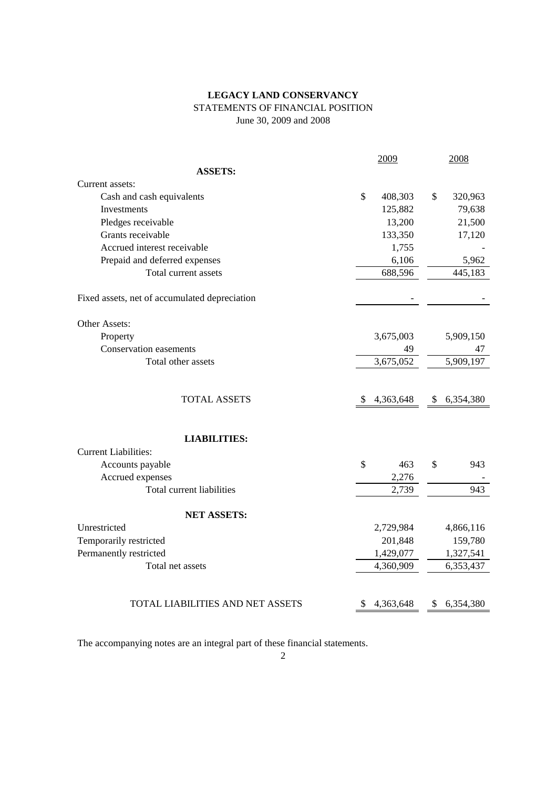## **LEGACY LAND CONSERVANCY** STATEMENTS OF FINANCIAL POSITION June 30, 2009 and 2008

|                                               |    | 2009      | 2008            |
|-----------------------------------------------|----|-----------|-----------------|
| <b>ASSETS:</b>                                |    |           |                 |
| Current assets:                               |    |           |                 |
| Cash and cash equivalents                     | \$ | 408,303   | \$<br>320,963   |
| Investments                                   |    | 125,882   | 79,638          |
| Pledges receivable                            |    | 13,200    | 21,500          |
| Grants receivable                             |    | 133,350   | 17,120          |
| Accrued interest receivable                   |    | 1,755     |                 |
| Prepaid and deferred expenses                 |    | 6,106     | 5,962           |
| Total current assets                          |    | 688,596   | 445,183         |
| Fixed assets, net of accumulated depreciation |    |           |                 |
| Other Assets:                                 |    |           |                 |
| Property                                      |    | 3,675,003 | 5,909,150       |
| <b>Conservation easements</b>                 |    | 49        | 47              |
| Total other assets                            |    | 3,675,052 | 5,909,197       |
| <b>TOTAL ASSETS</b>                           | S  | 4,363,648 | \$<br>6,354,380 |
| <b>LIABILITIES:</b>                           |    |           |                 |
| <b>Current Liabilities:</b>                   |    |           |                 |
| Accounts payable                              | \$ | 463       | \$<br>943       |
| Accrued expenses<br>Total current liabilities |    | 2,276     | 943             |
|                                               |    | 2,739     |                 |
| <b>NET ASSETS:</b>                            |    |           |                 |
| Unrestricted                                  |    | 2,729,984 | 4,866,116       |
| Temporarily restricted                        |    | 201,848   | 159,780         |
| Permanently restricted                        |    | 1,429,077 | 1,327,541       |
| Total net assets                              |    | 4,360,909 | 6,353,437       |
|                                               |    |           |                 |
| TOTAL LIABILITIES AND NET ASSETS              | \$ | 4,363,648 | \$ 6,354,380    |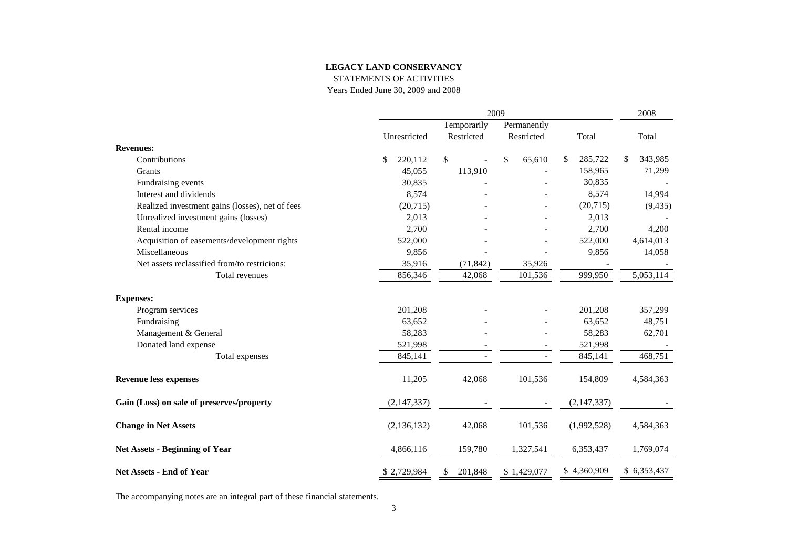STATEMENTS OF ACTIVITIES

Years Ended June 30, 2009 and 2008

|                                                 | 2009          |               |                |               | 2008          |  |  |  |
|-------------------------------------------------|---------------|---------------|----------------|---------------|---------------|--|--|--|
|                                                 |               | Temporarily   |                | Permanently   |               |  |  |  |
|                                                 | Unrestricted  | Restricted    | Restricted     | Total         | Total         |  |  |  |
| <b>Revenues:</b>                                |               |               |                |               |               |  |  |  |
| Contributions                                   | 220,112<br>\$ | \$            | \$<br>65,610   | \$<br>285,722 | 343,985<br>\$ |  |  |  |
| Grants                                          | 45,055        | 113,910       |                | 158,965       | 71,299        |  |  |  |
| Fundraising events                              | 30,835        |               |                | 30,835        |               |  |  |  |
| Interest and dividends                          | 8,574         |               |                | 8,574         | 14,994        |  |  |  |
| Realized investment gains (losses), net of fees | (20,715)      |               |                | (20, 715)     | (9, 435)      |  |  |  |
| Unrealized investment gains (losses)            | 2,013         |               |                | 2,013         |               |  |  |  |
| Rental income                                   | 2,700         |               |                | 2,700         | 4,200         |  |  |  |
| Acquisition of easements/development rights     | 522,000       |               |                | 522,000       | 4,614,013     |  |  |  |
| Miscellaneous                                   | 9,856         |               |                | 9,856         | 14,058        |  |  |  |
| Net assets reclassified from/to restricions:    | 35,916        | (71, 842)     | 35,926         |               |               |  |  |  |
| Total revenues                                  | 856,346       | 42,068        | 101,536        | 999,950       | 5,053,114     |  |  |  |
| <b>Expenses:</b>                                |               |               |                |               |               |  |  |  |
| Program services                                | 201,208       |               |                | 201,208       | 357,299       |  |  |  |
| Fundraising                                     | 63,652        |               |                | 63,652        | 48,751        |  |  |  |
| Management & General                            | 58,283        |               |                | 58,283        | 62,701        |  |  |  |
| Donated land expense                            | 521,998       |               |                | 521,998       |               |  |  |  |
| Total expenses                                  | 845,141       |               | $\overline{a}$ | 845,141       | 468,751       |  |  |  |
| <b>Revenue less expenses</b>                    | 11,205        | 42,068        | 101,536        | 154,809       | 4,584,363     |  |  |  |
| Gain (Loss) on sale of preserves/property       | (2, 147, 337) |               |                | (2,147,337)   |               |  |  |  |
| <b>Change in Net Assets</b>                     | (2, 136, 132) | 42,068        | 101,536        | (1,992,528)   | 4,584,363     |  |  |  |
| <b>Net Assets - Beginning of Year</b>           | 4,866,116     | 159,780       | 1,327,541      | 6,353,437     | 1,769,074     |  |  |  |
| Net Assets - End of Year                        | \$2,729,984   | 201,848<br>\$ | \$1,429,077    | \$4,360,909   | \$ 6,353,437  |  |  |  |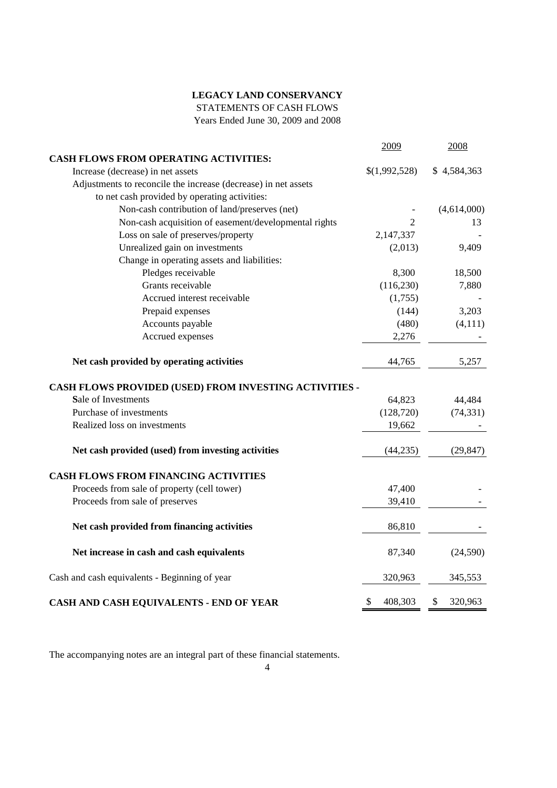STATEMENTS OF CASH FLOWS

Years Ended June 30, 2009 and 2008

|                                                                | 2009           | 2008          |
|----------------------------------------------------------------|----------------|---------------|
| <b>CASH FLOWS FROM OPERATING ACTIVITIES:</b>                   |                |               |
| Increase (decrease) in net assets                              | \$(1,992,528)  | \$4,584,363   |
| Adjustments to reconcile the increase (decrease) in net assets |                |               |
| to net cash provided by operating activities:                  |                |               |
| Non-cash contribution of land/preserves (net)                  |                | (4,614,000)   |
| Non-cash acquisition of easement/developmental rights          | $\overline{2}$ | 13            |
| Loss on sale of preserves/property                             | 2,147,337      |               |
| Unrealized gain on investments                                 | (2,013)        | 9,409         |
| Change in operating assets and liabilities:                    |                |               |
| Pledges receivable                                             | 8,300          | 18,500        |
| Grants receivable                                              | (116, 230)     | 7,880         |
| Accrued interest receivable                                    | (1,755)        |               |
| Prepaid expenses                                               | (144)          | 3,203         |
| Accounts payable                                               | (480)          | (4, 111)      |
| Accrued expenses                                               | 2,276          |               |
| Net cash provided by operating activities                      | 44,765         | 5,257         |
| CASH FLOWS PROVIDED (USED) FROM INVESTING ACTIVITIES -         |                |               |
| Sale of Investments                                            | 64,823         | 44,484        |
| Purchase of investments                                        | (128, 720)     | (74, 331)     |
| Realized loss on investments                                   | 19,662         |               |
| Net cash provided (used) from investing activities             | (44, 235)      | (29, 847)     |
| <b>CASH FLOWS FROM FINANCING ACTIVITIES</b>                    |                |               |
| Proceeds from sale of property (cell tower)                    | 47,400         |               |
| Proceeds from sale of preserves                                | 39,410         |               |
| Net cash provided from financing activities                    | 86,810         |               |
| Net increase in cash and cash equivalents                      | 87,340         | (24, 590)     |
| Cash and cash equivalents - Beginning of year                  | 320,963        | 345,553       |
| CASH AND CASH EQUIVALENTS - END OF YEAR                        | \$<br>408,303  | \$<br>320,963 |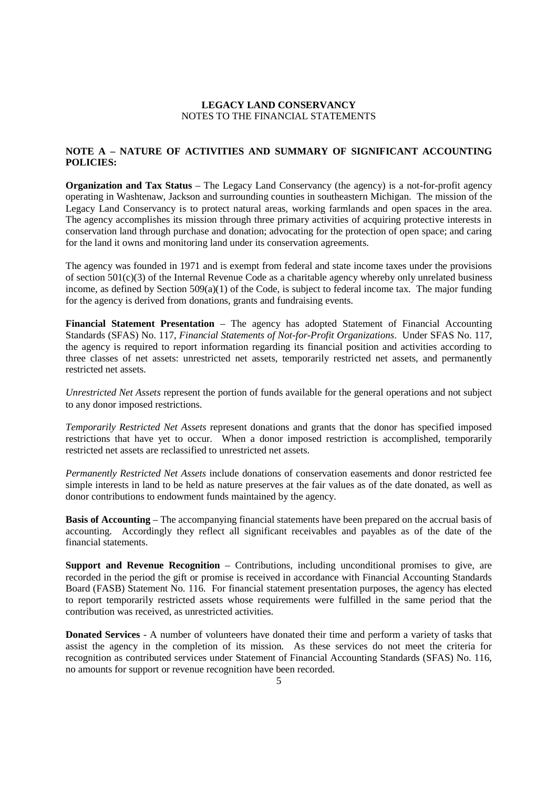## **NOTE A – NATURE OF ACTIVITIES AND SUMMARY OF SIGNIFICANT ACCOUNTING POLICIES:**

**Organization and Tax Status** – The Legacy Land Conservancy (the agency) is a not-for-profit agency operating in Washtenaw, Jackson and surrounding counties in southeastern Michigan. The mission of the Legacy Land Conservancy is to protect natural areas, working farmlands and open spaces in the area. The agency accomplishes its mission through three primary activities of acquiring protective interests in conservation land through purchase and donation; advocating for the protection of open space; and caring for the land it owns and monitoring land under its conservation agreements.

The agency was founded in 1971 and is exempt from federal and state income taxes under the provisions of section 501(c)(3) of the Internal Revenue Code as a charitable agency whereby only unrelated business income, as defined by Section 509(a)(1) of the Code, is subject to federal income tax. The major funding for the agency is derived from donations, grants and fundraising events.

**Financial Statement Presentation** – The agency has adopted Statement of Financial Accounting Standards (SFAS) No. 117, *Financial Statements of Not-for-Profit Organizations*. Under SFAS No. 117, the agency is required to report information regarding its financial position and activities according to three classes of net assets: unrestricted net assets, temporarily restricted net assets, and permanently restricted net assets.

*Unrestricted Net Assets* represent the portion of funds available for the general operations and not subject to any donor imposed restrictions.

*Temporarily Restricted Net Assets* represent donations and grants that the donor has specified imposed restrictions that have yet to occur. When a donor imposed restriction is accomplished, temporarily restricted net assets are reclassified to unrestricted net assets.

*Permanently Restricted Net Assets* include donations of conservation easements and donor restricted fee simple interests in land to be held as nature preserves at the fair values as of the date donated, as well as donor contributions to endowment funds maintained by the agency.

**Basis of Accounting** – The accompanying financial statements have been prepared on the accrual basis of accounting. Accordingly they reflect all significant receivables and payables as of the date of the financial statements.

**Support and Revenue Recognition** – Contributions, including unconditional promises to give, are recorded in the period the gift or promise is received in accordance with Financial Accounting Standards Board (FASB) Statement No. 116. For financial statement presentation purposes, the agency has elected to report temporarily restricted assets whose requirements were fulfilled in the same period that the contribution was received, as unrestricted activities.

**Donated Services** - A number of volunteers have donated their time and perform a variety of tasks that assist the agency in the completion of its mission. As these services do not meet the criteria for recognition as contributed services under Statement of Financial Accounting Standards (SFAS) No. 116, no amounts for support or revenue recognition have been recorded.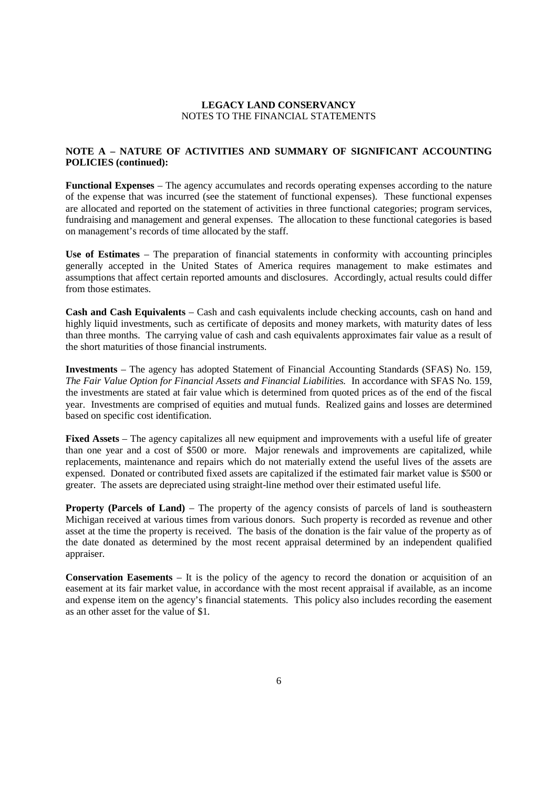## **NOTE A – NATURE OF ACTIVITIES AND SUMMARY OF SIGNIFICANT ACCOUNTING POLICIES (continued):**

**Functional Expenses** – The agency accumulates and records operating expenses according to the nature of the expense that was incurred (see the statement of functional expenses). These functional expenses are allocated and reported on the statement of activities in three functional categories; program services, fundraising and management and general expenses. The allocation to these functional categories is based on management's records of time allocated by the staff.

**Use of Estimates** – The preparation of financial statements in conformity with accounting principles generally accepted in the United States of America requires management to make estimates and assumptions that affect certain reported amounts and disclosures. Accordingly, actual results could differ from those estimates.

**Cash and Cash Equivalents** – Cash and cash equivalents include checking accounts, cash on hand and highly liquid investments, such as certificate of deposits and money markets, with maturity dates of less than three months. The carrying value of cash and cash equivalents approximates fair value as a result of the short maturities of those financial instruments.

**Investments** – The agency has adopted Statement of Financial Accounting Standards (SFAS) No. 159, *The Fair Value Option for Financial Assets and Financial Liabilities.* In accordance with SFAS No. 159, the investments are stated at fair value which is determined from quoted prices as of the end of the fiscal year. Investments are comprised of equities and mutual funds. Realized gains and losses are determined based on specific cost identification.

**Fixed Assets** – The agency capitalizes all new equipment and improvements with a useful life of greater than one year and a cost of \$500 or more. Major renewals and improvements are capitalized, while replacements, maintenance and repairs which do not materially extend the useful lives of the assets are expensed. Donated or contributed fixed assets are capitalized if the estimated fair market value is \$500 or greater. The assets are depreciated using straight-line method over their estimated useful life.

**Property (Parcels of Land)** – The property of the agency consists of parcels of land is southeastern Michigan received at various times from various donors. Such property is recorded as revenue and other asset at the time the property is received. The basis of the donation is the fair value of the property as of the date donated as determined by the most recent appraisal determined by an independent qualified appraiser.

**Conservation Easements** – It is the policy of the agency to record the donation or acquisition of an easement at its fair market value, in accordance with the most recent appraisal if available, as an income and expense item on the agency's financial statements. This policy also includes recording the easement as an other asset for the value of \$1.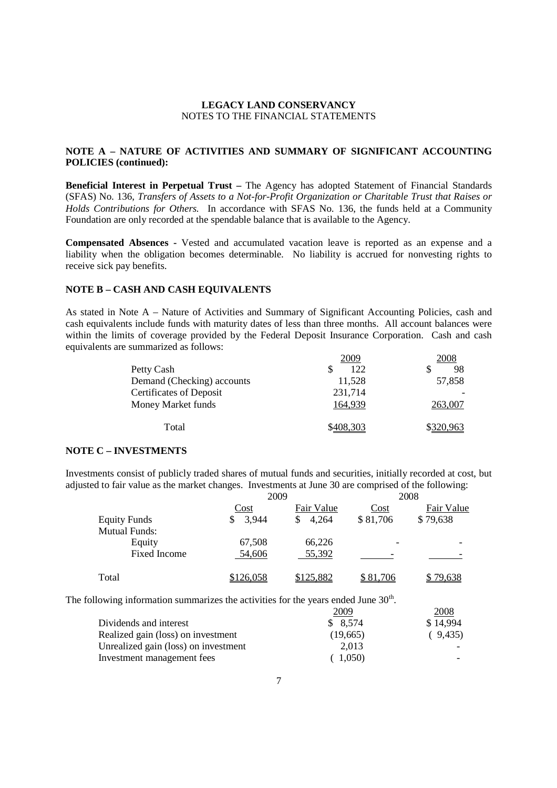## **NOTE A – NATURE OF ACTIVITIES AND SUMMARY OF SIGNIFICANT ACCOUNTING POLICIES (continued):**

**Beneficial Interest in Perpetual Trust –** The Agency has adopted Statement of Financial Standards (SFAS) No. 136, *Transfers of Assets to a Not-for-Profit Organization or Charitable Trust that Raises or Holds Contributions for Others.* In accordance with SFAS No. 136, the funds held at a Community Foundation are only recorded at the spendable balance that is available to the Agency.

**Compensated Absences -** Vested and accumulated vacation leave is reported as an expense and a liability when the obligation becomes determinable. No liability is accrued for nonvesting rights to receive sick pay benefits.

### **NOTE B – CASH AND CASH EQUIVALENTS**

As stated in Note A – Nature of Activities and Summary of Significant Accounting Policies, cash and cash equivalents include funds with maturity dates of less than three months. All account balances were within the limits of coverage provided by the Federal Deposit Insurance Corporation. Cash and cash equivalents are summarized as follows:

| 2009      | 2008      |
|-----------|-----------|
| 122       | 98        |
| 11,528    | 57,858    |
| 231,714   |           |
| 164,939   | 263,007   |
| \$408,303 | \$320,963 |
|           |           |

### **NOTE C – INVESTMENTS**

Investments consist of publicly traded shares of mutual funds and securities, initially recorded at cost, but adjusted to fair value as the market changes. Investments at June 30 are comprised of the following:

|                      |            | 2009       |          | 2008       |
|----------------------|------------|------------|----------|------------|
|                      | Cost       | Fair Value | Cost     | Fair Value |
| <b>Equity Funds</b>  | 3,944<br>S | 4,264<br>S | \$81,706 | \$79,638   |
| <b>Mutual Funds:</b> |            |            |          |            |
| Equity               | 67,508     | 66,226     |          |            |
| <b>Fixed Income</b>  | 54,606     | 55,392     |          |            |
| Total                | \$126,058  | \$125,882  | \$81,706 | \$79,638   |

The following information summarizes the activities for the years ended June  $30<sup>th</sup>$ .

|                                      | 2009     | 2008     |
|--------------------------------------|----------|----------|
| Dividends and interest               | \$8,574  | \$14,994 |
| Realized gain (loss) on investment   | (19,665) | (9,435)  |
| Unrealized gain (loss) on investment | 2,013    |          |
| Investment management fees           | 1.050    |          |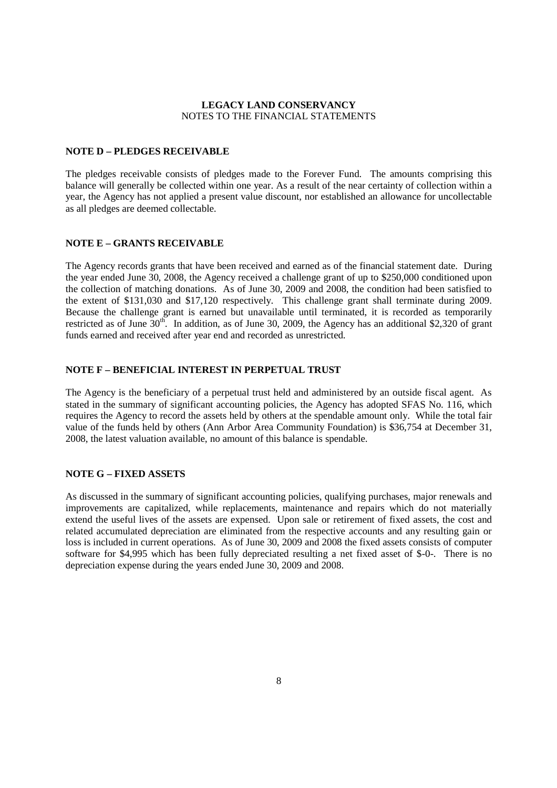#### **NOTE D – PLEDGES RECEIVABLE**

The pledges receivable consists of pledges made to the Forever Fund. The amounts comprising this balance will generally be collected within one year. As a result of the near certainty of collection within a year, the Agency has not applied a present value discount, nor established an allowance for uncollectable as all pledges are deemed collectable.

## **NOTE E – GRANTS RECEIVABLE**

The Agency records grants that have been received and earned as of the financial statement date. During the year ended June 30, 2008, the Agency received a challenge grant of up to \$250,000 conditioned upon the collection of matching donations. As of June 30, 2009 and 2008, the condition had been satisfied to the extent of \$131,030 and \$17,120 respectively. This challenge grant shall terminate during 2009. Because the challenge grant is earned but unavailable until terminated, it is recorded as temporarily restricted as of June  $30<sup>th</sup>$ . In addition, as of June 30, 2009, the Agency has an additional \$2,320 of grant funds earned and received after year end and recorded as unrestricted.

## **NOTE F – BENEFICIAL INTEREST IN PERPETUAL TRUST**

The Agency is the beneficiary of a perpetual trust held and administered by an outside fiscal agent. As stated in the summary of significant accounting policies, the Agency has adopted SFAS No. 116, which requires the Agency to record the assets held by others at the spendable amount only. While the total fair value of the funds held by others (Ann Arbor Area Community Foundation) is \$36,754 at December 31, 2008, the latest valuation available, no amount of this balance is spendable.

## **NOTE G – FIXED ASSETS**

As discussed in the summary of significant accounting policies, qualifying purchases, major renewals and improvements are capitalized, while replacements, maintenance and repairs which do not materially extend the useful lives of the assets are expensed. Upon sale or retirement of fixed assets, the cost and related accumulated depreciation are eliminated from the respective accounts and any resulting gain or loss is included in current operations. As of June 30, 2009 and 2008 the fixed assets consists of computer software for \$4,995 which has been fully depreciated resulting a net fixed asset of \$-0-. There is no depreciation expense during the years ended June 30, 2009 and 2008.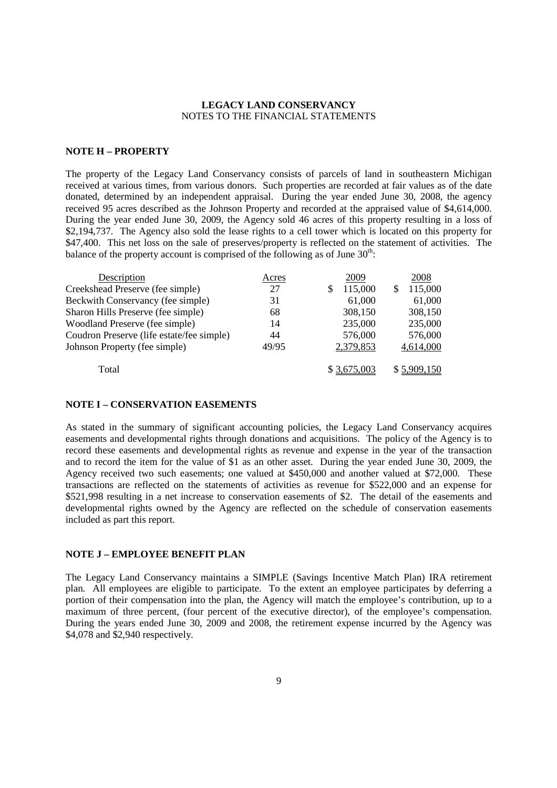### **NOTE H – PROPERTY**

The property of the Legacy Land Conservancy consists of parcels of land in southeastern Michigan received at various times, from various donors. Such properties are recorded at fair values as of the date donated, determined by an independent appraisal. During the year ended June 30, 2008, the agency received 95 acres described as the Johnson Property and recorded at the appraised value of \$4,614,000. During the year ended June 30, 2009, the Agency sold 46 acres of this property resulting in a loss of \$2,194,737. The Agency also sold the lease rights to a cell tower which is located on this property for \$47,400. This net loss on the sale of preserves/property is reflected on the statement of activities. The balance of the property account is comprised of the following as of June  $30^{\text{th}}$ .

| Description                               | Acres | 2009         | 2008        |
|-------------------------------------------|-------|--------------|-------------|
| Creekshead Preserve (fee simple)          | 27    | 115,000<br>S | 115,000     |
| Beckwith Conservancy (fee simple)         | 31    | 61,000       | 61,000      |
| Sharon Hills Preserve (fee simple)        | 68    | 308,150      | 308,150     |
| Woodland Preserve (fee simple)            | 14    | 235,000      | 235,000     |
| Coudron Preserve (life estate/fee simple) | 44    | 576,000      | 576,000     |
| Johnson Property (fee simple)             | 49/95 | 2,379,853    | 4,614,000   |
| Total                                     |       | \$3,675,003  | \$5,909,150 |

### **NOTE I – CONSERVATION EASEMENTS**

As stated in the summary of significant accounting policies, the Legacy Land Conservancy acquires easements and developmental rights through donations and acquisitions. The policy of the Agency is to record these easements and developmental rights as revenue and expense in the year of the transaction and to record the item for the value of \$1 as an other asset. During the year ended June 30, 2009, the Agency received two such easements; one valued at \$450,000 and another valued at \$72,000. These transactions are reflected on the statements of activities as revenue for \$522,000 and an expense for \$521,998 resulting in a net increase to conservation easements of \$2. The detail of the easements and developmental rights owned by the Agency are reflected on the schedule of conservation easements included as part this report.

#### **NOTE J – EMPLOYEE BENEFIT PLAN**

The Legacy Land Conservancy maintains a SIMPLE (Savings Incentive Match Plan) IRA retirement plan. All employees are eligible to participate. To the extent an employee participates by deferring a portion of their compensation into the plan, the Agency will match the employee's contribution, up to a maximum of three percent, (four percent of the executive director), of the employee's compensation. During the years ended June 30, 2009 and 2008, the retirement expense incurred by the Agency was \$4,078 and \$2,940 respectively.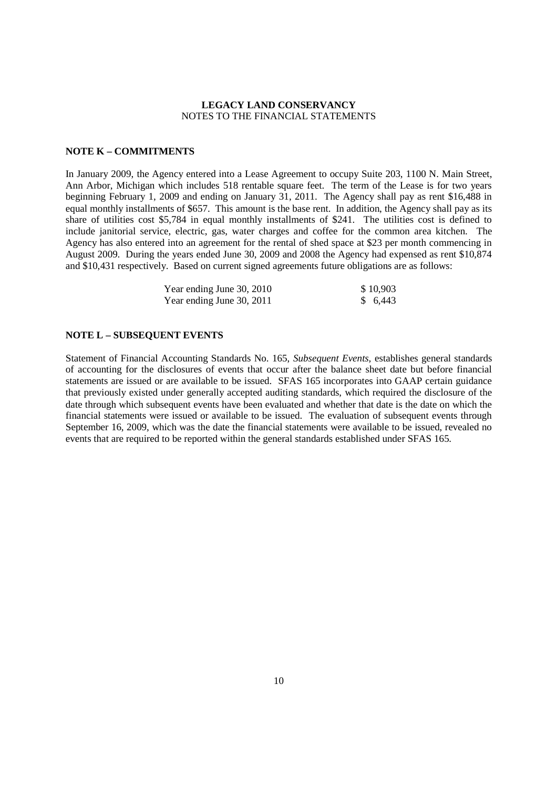#### **NOTE K – COMMITMENTS**

In January 2009, the Agency entered into a Lease Agreement to occupy Suite 203, 1100 N. Main Street, Ann Arbor, Michigan which includes 518 rentable square feet. The term of the Lease is for two years beginning February 1, 2009 and ending on January 31, 2011. The Agency shall pay as rent \$16,488 in equal monthly installments of \$657. This amount is the base rent. In addition, the Agency shall pay as its share of utilities cost \$5,784 in equal monthly installments of \$241. The utilities cost is defined to include janitorial service, electric, gas, water charges and coffee for the common area kitchen. The Agency has also entered into an agreement for the rental of shed space at \$23 per month commencing in August 2009. During the years ended June 30, 2009 and 2008 the Agency had expensed as rent \$10,874 and \$10,431 respectively. Based on current signed agreements future obligations are as follows:

| Year ending June 30, 2010 | \$10,903 |
|---------------------------|----------|
| Year ending June 30, 2011 | \$ 6,443 |

### **NOTE L – SUBSEQUENT EVENTS**

Statement of Financial Accounting Standards No. 165, *Subsequent Events,* establishes general standards of accounting for the disclosures of events that occur after the balance sheet date but before financial statements are issued or are available to be issued. SFAS 165 incorporates into GAAP certain guidance that previously existed under generally accepted auditing standards, which required the disclosure of the date through which subsequent events have been evaluated and whether that date is the date on which the financial statements were issued or available to be issued. The evaluation of subsequent events through September 16, 2009, which was the date the financial statements were available to be issued, revealed no events that are required to be reported within the general standards established under SFAS 165.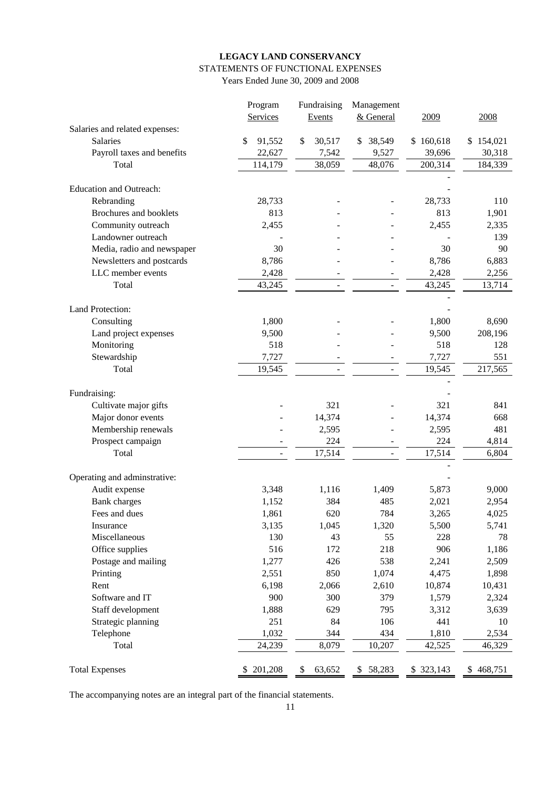## **LEGACY LAND CONSERVANCY** STATEMENTS OF FUNCTIONAL EXPENSES

Years Ended June 30, 2009 and 2008

|                                | Program      | Fundraising  | Management   |            |           |
|--------------------------------|--------------|--------------|--------------|------------|-----------|
|                                | Services     | Events       | & General    | 2009       | 2008      |
| Salaries and related expenses: |              |              |              |            |           |
| Salaries                       | \$<br>91,552 | \$<br>30,517 | 38,549<br>\$ | \$160,618  | \$154,021 |
| Payroll taxes and benefits     | 22,627       | 7,542        | 9,527        | 39,696     | 30,318    |
| Total                          | 114,179      | 38,059       | 48,076       | 200,314    | 184,339   |
|                                |              |              |              |            |           |
| <b>Education and Outreach:</b> |              |              |              |            |           |
| Rebranding                     | 28,733       |              |              | 28,733     | 110       |
| Brochures and booklets         | 813          |              |              | 813        | 1,901     |
| Community outreach             | 2,455        |              |              | 2,455      | 2,335     |
| Landowner outreach             |              |              |              |            | 139       |
| Media, radio and newspaper     | 30           |              |              | 30         | 90        |
| Newsletters and postcards      | 8,786        |              |              | 8,786      | 6,883     |
| LLC member events              | 2,428        |              |              | 2,428      | 2,256     |
| Total                          | 43,245       |              |              | 43,245     | 13,714    |
| Land Protection:               |              |              |              |            |           |
| Consulting                     | 1,800        |              |              | 1,800      | 8,690     |
| Land project expenses          | 9,500        |              |              | 9,500      | 208,196   |
| Monitoring                     | 518          |              |              | 518        | 128       |
| Stewardship                    | 7,727        |              |              | 7,727      | 551       |
| Total                          | 19,545       |              |              | 19,545     | 217,565   |
|                                |              |              |              |            |           |
| Fundraising:                   |              |              |              |            |           |
| Cultivate major gifts          |              | 321          |              | 321        | 841       |
| Major donor events             |              | 14,374       |              | 14,374     | 668       |
| Membership renewals            |              | 2,595        |              | 2,595      | 481       |
| Prospect campaign              |              | 224          |              | 224        | 4,814     |
| Total                          |              | 17,514       |              | 17,514     | 6,804     |
|                                |              |              |              |            |           |
| Operating and adminstrative:   |              |              |              |            |           |
| Audit expense                  | 3,348        | 1,116        | 1,409        | 5,873      | 9,000     |
| <b>Bank</b> charges            | 1,152        | 384          | 485          | 2,021      | 2,954     |
| Fees and dues                  | 1,861        | 620          | 784          | 3,265      | 4,025     |
| Insurance                      | 3,135        | 1,045        | 1,320        | 5,500      | 5,741     |
| Miscellaneous                  | 130          | 43           | 55           | 228        | 78        |
| Office supplies                | 516          | 172          | 218          | 906        | 1,186     |
| Postage and mailing            | 1,277        | 426          | 538          | 2,241      | 2,509     |
| Printing                       | 2,551        | 850          | 1,074        | 4,475      | 1,898     |
| Rent                           | 6,198        | 2,066        | 2,610        | 10,874     | 10,431    |
| Software and IT                | 900          | 300          | 379          | 1,579      | 2,324     |
| Staff development              | 1,888        | 629          | 795          | 3,312      | 3,639     |
| Strategic planning             | 251          | 84           | 106          | 441        | 10        |
| Telephone                      | 1,032        | 344          | 434          | 1,810      | 2,534     |
| Total                          | 24,239       | 8,079        | 10,207       | 42,525     | 46,329    |
|                                |              |              |              |            |           |
| <b>Total Expenses</b>          | \$201,208    | 63,652<br>\$ | 58,283<br>\$ | \$ 323,143 | \$468,751 |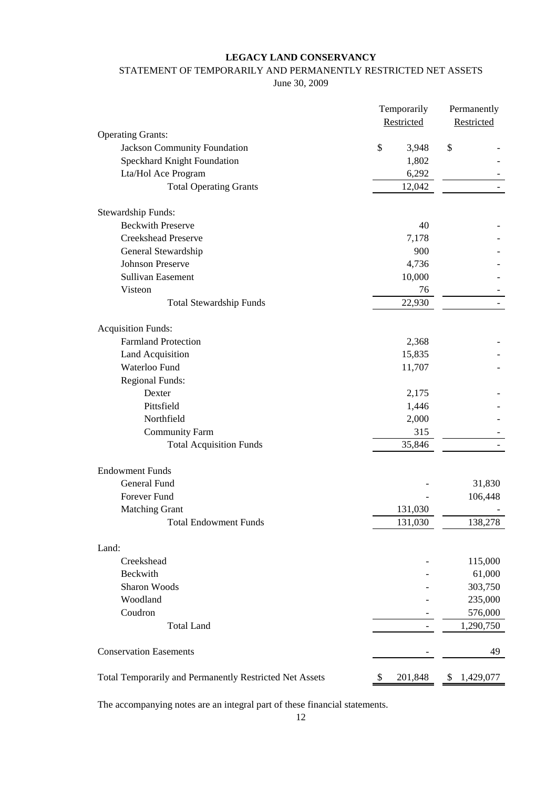## STATEMENT OF TEMPORARILY AND PERMANENTLY RESTRICTED NET ASSETS

June 30, 2009

|                                                         | Temporarily |            | Permanently |            |
|---------------------------------------------------------|-------------|------------|-------------|------------|
|                                                         |             | Restricted |             | Restricted |
| <b>Operating Grants:</b>                                |             |            |             |            |
| Jackson Community Foundation                            | \$          | 3,948      | \$          |            |
| Speckhard Knight Foundation                             |             | 1,802      |             |            |
| Lta/Hol Ace Program                                     |             | 6,292      |             |            |
| <b>Total Operating Grants</b>                           |             | 12,042     |             |            |
| <b>Stewardship Funds:</b>                               |             |            |             |            |
| <b>Beckwith Preserve</b>                                |             | 40         |             |            |
| <b>Creekshead Preserve</b>                              |             | 7,178      |             |            |
| General Stewardship                                     |             | 900        |             |            |
| <b>Johnson Preserve</b>                                 |             | 4,736      |             |            |
| <b>Sullivan Easement</b>                                |             | 10,000     |             |            |
| Visteon                                                 |             | 76         |             |            |
| <b>Total Stewardship Funds</b>                          |             | 22,930     |             |            |
|                                                         |             |            |             |            |
| <b>Acquisition Funds:</b>                               |             |            |             |            |
| <b>Farmland Protection</b>                              |             | 2,368      |             |            |
| Land Acquisition                                        |             | 15,835     |             |            |
| Waterloo Fund                                           |             | 11,707     |             |            |
| <b>Regional Funds:</b>                                  |             |            |             |            |
| Dexter                                                  |             | 2,175      |             |            |
| Pittsfield                                              |             | 1,446      |             |            |
| Northfield                                              |             | 2,000      |             |            |
| <b>Community Farm</b>                                   |             | 315        |             |            |
| <b>Total Acquisition Funds</b>                          |             | 35,846     |             |            |
| <b>Endowment Funds</b>                                  |             |            |             |            |
| <b>General Fund</b>                                     |             |            |             | 31,830     |
| Forever Fund                                            |             |            |             | 106,448    |
| <b>Matching Grant</b>                                   |             | 131,030    |             |            |
| <b>Total Endowment Funds</b>                            |             | 131,030    |             | 138,278    |
| Land:                                                   |             |            |             |            |
| Creekshead                                              |             |            |             | 115,000    |
| Beckwith                                                |             |            |             | 61,000     |
| Sharon Woods                                            |             |            |             | 303,750    |
| Woodland                                                |             |            |             | 235,000    |
| Coudron                                                 |             |            |             | 576,000    |
| <b>Total Land</b>                                       |             |            |             | 1,290,750  |
|                                                         |             |            |             |            |
| <b>Conservation Easements</b>                           |             |            |             | 49         |
| Total Temporarily and Permanently Restricted Net Assets | \$          | 201,848    | \$          | 1,429,077  |